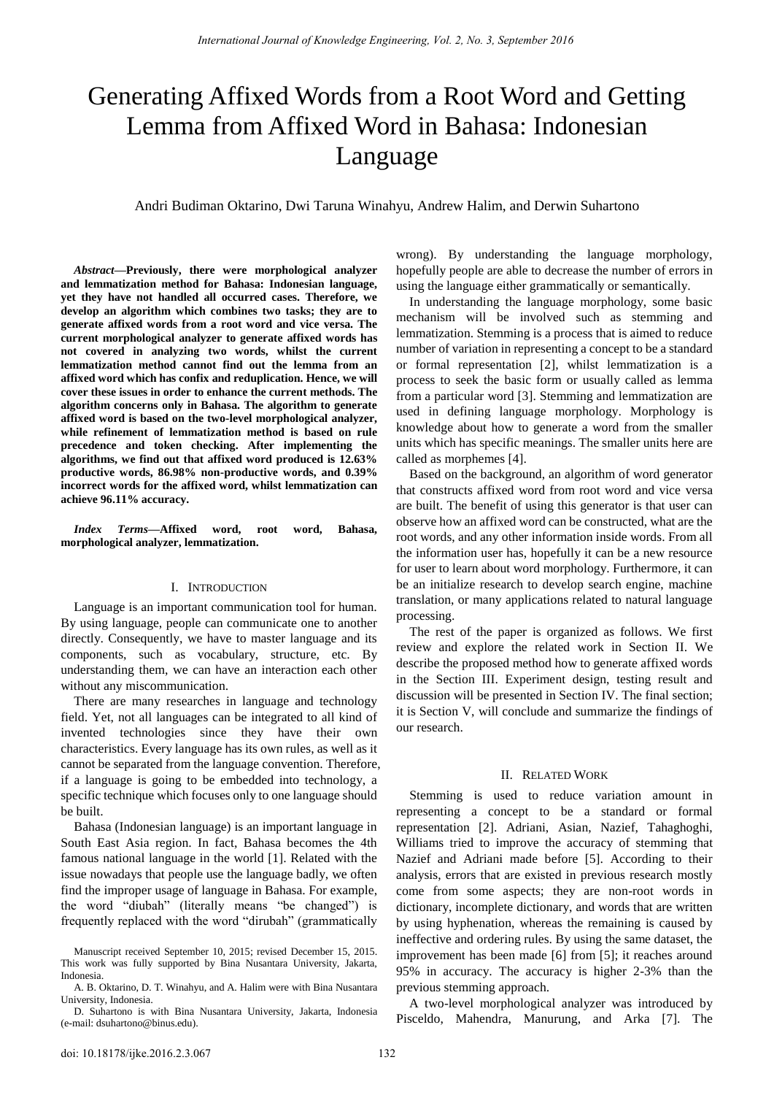# Generating Affixed Words from a Root Word and Getting Lemma from Affixed Word in Bahasa: Indonesian Language

Andri Budiman Oktarino, Dwi Taruna Winahyu, Andrew Halim, and Derwin Suhartono

*Abstract***—Previously, there were morphological analyzer and lemmatization method for Bahasa: Indonesian language, yet they have not handled all occurred cases. Therefore, we develop an algorithm which combines two tasks; they are to generate affixed words from a root word and vice versa. The current morphological analyzer to generate affixed words has not covered in analyzing two words, whilst the current lemmatization method cannot find out the lemma from an affixed word which has confix and reduplication. Hence, we will cover these issues in order to enhance the current methods. The algorithm concerns only in Bahasa. The algorithm to generate affixed word is based on the two-level morphological analyzer, while refinement of lemmatization method is based on rule precedence and token checking. After implementing the algorithms, we find out that affixed word produced is 12.63% productive words, 86.98% non-productive words, and 0.39% incorrect words for the affixed word, whilst lemmatization can achieve 96.11% accuracy.** 

*Index Terms***—Affixed word, root word, Bahasa, morphological analyzer, lemmatization.** 

#### I. INTRODUCTION

Language is an important communication tool for human. By using language, people can communicate one to another directly. Consequently, we have to master language and its components, such as vocabulary, structure, etc. By understanding them, we can have an interaction each other without any miscommunication.

There are many researches in language and technology field. Yet, not all languages can be integrated to all kind of invented technologies since they have their own characteristics. Every language has its own rules, as well as it cannot be separated from the language convention. Therefore, if a language is going to be embedded into technology, a specific technique which focuses only to one language should be built.

Bahasa (Indonesian language) is an important language in South East Asia region. In fact, Bahasa becomes the 4th famous national language in the world [1]. Related with the issue nowadays that people use the language badly, we often find the improper usage of language in Bahasa. For example, the word "diubah" (literally means "be changed") is frequently replaced with the word "dirubah" (grammatically

wrong). By understanding the language morphology, hopefully people are able to decrease the number of errors in using the language either grammatically or semantically.

In understanding the language morphology, some basic mechanism will be involved such as stemming and lemmatization. Stemming is a process that is aimed to reduce number of variation in representing a concept to be a standard or formal representation [2], whilst lemmatization is a process to seek the basic form or usually called as lemma from a particular word [3]. Stemming and lemmatization are used in defining language morphology. Morphology is knowledge about how to generate a word from the smaller units which has specific meanings. The smaller units here are called as morphemes [4].

Based on the background, an algorithm of word generator that constructs affixed word from root word and vice versa are built. The benefit of using this generator is that user can observe how an affixed word can be constructed, what are the root words, and any other information inside words. From all the information user has, hopefully it can be a new resource for user to learn about word morphology. Furthermore, it can be an initialize research to develop search engine, machine translation, or many applications related to natural language processing.

The rest of the paper is organized as follows. We first review and explore the related work in Section II. We describe the proposed method how to generate affixed words in the Section III. Experiment design, testing result and discussion will be presented in Section IV. The final section; it is Section V, will conclude and summarize the findings of our research.

#### II. RELATED WORK

Stemming is used to reduce variation amount in representing a concept to be a standard or formal representation [2]. Adriani, Asian, Nazief, Tahaghoghi, Williams tried to improve the accuracy of stemming that Nazief and Adriani made before [5]. According to their analysis, errors that are existed in previous research mostly come from some aspects; they are non-root words in dictionary, incomplete dictionary, and words that are written by using hyphenation, whereas the remaining is caused by ineffective and ordering rules. By using the same dataset, the improvement has been made [6] from [5]; it reaches around 95% in accuracy. The accuracy is higher 2-3% than the previous stemming approach.

A two-level morphological analyzer was introduced by Pisceldo, Mahendra, Manurung, and Arka [7]. The

Manuscript received September 10, 2015; revised December 15, 2015. This work was fully supported by Bina Nusantara University, Jakarta, Indonesia.

A. B. Oktarino, D. T. Winahyu, and A. Halim were with Bina Nusantara University, Indonesia.

D. Suhartono is with Bina Nusantara University, Jakarta, Indonesia (e-mail: dsuhartono@binus.edu).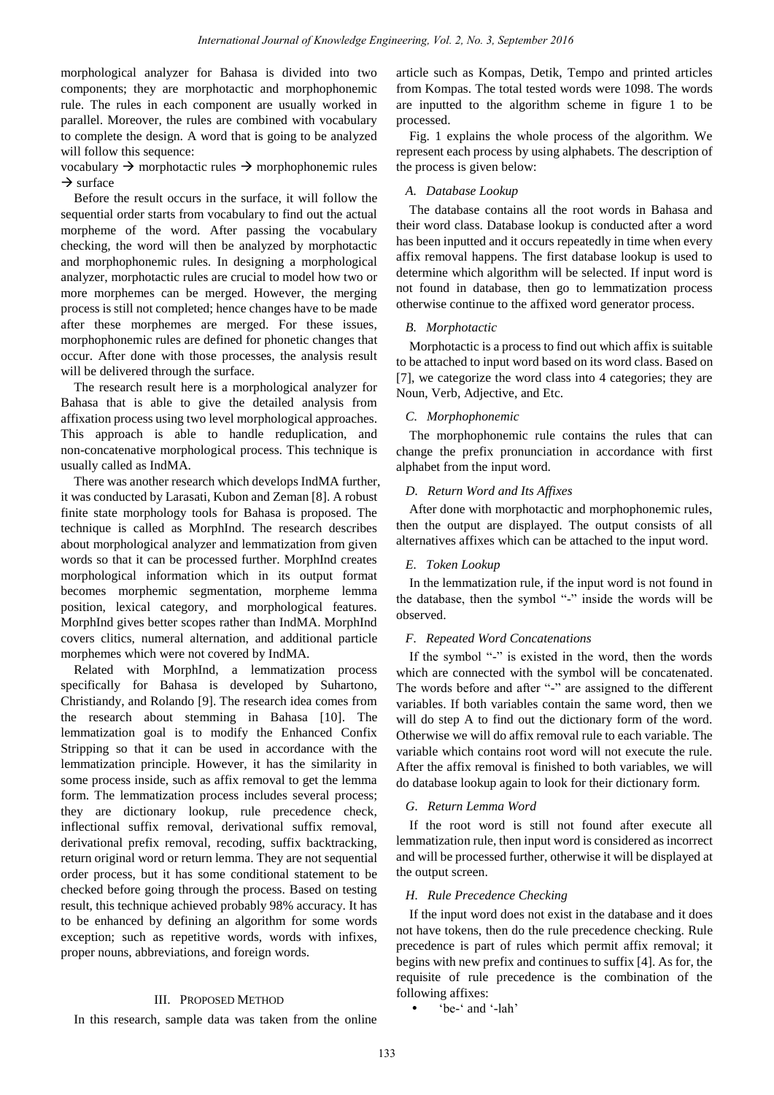morphological analyzer for Bahasa is divided into two components; they are morphotactic and morphophonemic rule. The rules in each component are usually worked in parallel. Moreover, the rules are combined with vocabulary to complete the design. A word that is going to be analyzed will follow this sequence:

vocabulary  $\rightarrow$  morphotactic rules  $\rightarrow$  morphophonemic rules  $\rightarrow$  surface

Before the result occurs in the surface, it will follow the sequential order starts from vocabulary to find out the actual morpheme of the word. After passing the vocabulary checking, the word will then be analyzed by morphotactic and morphophonemic rules. In designing a morphological analyzer, morphotactic rules are crucial to model how two or more morphemes can be merged. However, the merging process is still not completed; hence changes have to be made after these morphemes are merged. For these issues, morphophonemic rules are defined for phonetic changes that occur. After done with those processes, the analysis result will be delivered through the surface.

The research result here is a morphological analyzer for Bahasa that is able to give the detailed analysis from affixation process using two level morphological approaches. This approach is able to handle reduplication, and non-concatenative morphological process. This technique is usually called as IndMA.

There was another research which develops IndMA further, it was conducted by Larasati, Kubon and Zeman [8]. A robust finite state morphology tools for Bahasa is proposed. The technique is called as MorphInd. The research describes about morphological analyzer and lemmatization from given words so that it can be processed further. MorphInd creates morphological information which in its output format becomes morphemic segmentation, morpheme lemma position, lexical category, and morphological features. MorphInd gives better scopes rather than IndMA. MorphInd covers clitics, numeral alternation, and additional particle morphemes which were not covered by IndMA.

Related with MorphInd, a lemmatization process specifically for Bahasa is developed by Suhartono, Christiandy, and Rolando [9]. The research idea comes from the research about stemming in Bahasa [10]. The lemmatization goal is to modify the Enhanced Confix Stripping so that it can be used in accordance with the lemmatization principle. However, it has the similarity in some process inside, such as affix removal to get the lemma form. The lemmatization process includes several process; they are dictionary lookup, rule precedence check, inflectional suffix removal, derivational suffix removal, derivational prefix removal, recoding, suffix backtracking, return original word or return lemma. They are not sequential order process, but it has some conditional statement to be checked before going through the process. Based on testing result, this technique achieved probably 98% accuracy. It has to be enhanced by defining an algorithm for some words exception; such as repetitive words, words with infixes, proper nouns, abbreviations, and foreign words.

## III. PROPOSED METHOD

In this research, sample data was taken from the online

article such as Kompas, Detik, Tempo and printed articles from Kompas. The total tested words were 1098. The words are inputted to the algorithm scheme in figure 1 to be processed.

Fig. 1 explains the whole process of the algorithm. We represent each process by using alphabets. The description of the process is given below:

# *A. Database Lookup*

The database contains all the root words in Bahasa and their word class. Database lookup is conducted after a word has been inputted and it occurs repeatedly in time when every affix removal happens. The first database lookup is used to determine which algorithm will be selected. If input word is not found in database, then go to lemmatization process otherwise continue to the affixed word generator process.

## *B. Morphotactic*

Morphotactic is a process to find out which affix is suitable to be attached to input word based on its word class. Based on [7], we categorize the word class into 4 categories; they are Noun, Verb, Adjective, and Etc.

# *C. Morphophonemic*

The morphophonemic rule contains the rules that can change the prefix pronunciation in accordance with first alphabet from the input word.

# *D. Return Word and Its Affixes*

After done with morphotactic and morphophonemic rules, then the output are displayed. The output consists of all alternatives affixes which can be attached to the input word.

# *E. Token Lookup*

In the lemmatization rule, if the input word is not found in the database, then the symbol "-" inside the words will be observed.

# *F. Repeated Word Concatenations*

If the symbol "-" is existed in the word, then the words which are connected with the symbol will be concatenated. The words before and after "-" are assigned to the different variables. If both variables contain the same word, then we will do step A to find out the dictionary form of the word. Otherwise we will do affix removal rule to each variable. The variable which contains root word will not execute the rule. After the affix removal is finished to both variables, we will do database lookup again to look for their dictionary form.

## *G. Return Lemma Word*

If the root word is still not found after execute all lemmatization rule, then input word is considered as incorrect and will be processed further, otherwise it will be displayed at the output screen.

# *H. Rule Precedence Checking*

If the input word does not exist in the database and it does not have tokens, then do the rule precedence checking. Rule precedence is part of rules which permit affix removal; it begins with new prefix and continues to suffix [4]. As for, the requisite of rule precedence is the combination of the following affixes:

'be-' and '-lah'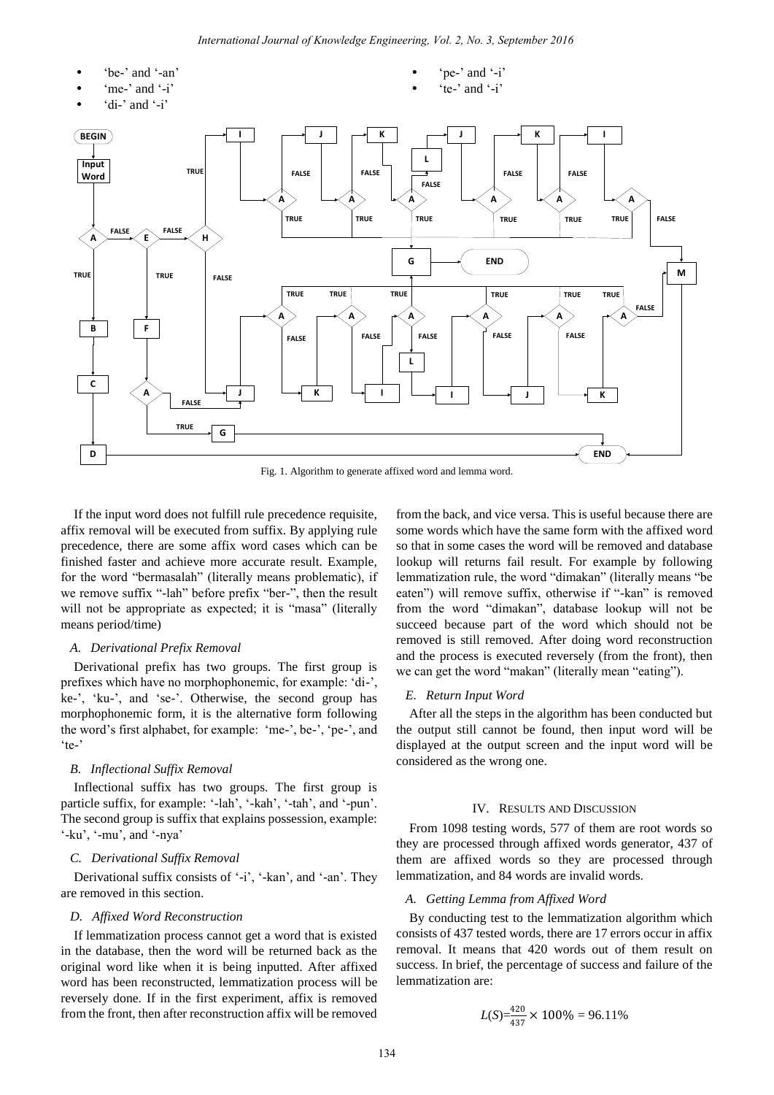

Fig. 1. Algorithm to generate affixed word and lemma word.

If the input word does not fulfill rule precedence requisite, affix removal will be executed from suffix. By applying rule precedence, there are some affix word cases which can be finished faster and achieve more accurate result. Example, for the word "bermasalah" (literally means problematic), if we remove suffix "-lah" before prefix "ber-", then the result will not be appropriate as expected; it is "masa" (literally means period/time)

#### *A. Derivational Prefix Removal*

Derivational prefix has two groups. The first group is prefixes which have no morphophonemic, for example: 'di-', ke-', 'ku-', and 'se-'. Otherwise, the second group has morphophonemic form, it is the alternative form following the word"s first alphabet, for example: "me-", be-", "pe-", and "te-"

#### *B. Inflectional Suffix Removal*

Inflectional suffix has two groups. The first group is particle suffix, for example: '-lah', '-kah', '-tah', and '-pun'. The second group is suffix that explains possession, example:  $'$ -ku',  $'$ -mu', and  $'$ -nya'

#### *C. Derivational Suffix Removal*

Derivational suffix consists of '-i', '-kan', and '-an'. They are removed in this section.

# *D. Affixed Word Reconstruction*

If lemmatization process cannot get a word that is existed in the database, then the word will be returned back as the original word like when it is being inputted. After affixed word has been reconstructed, lemmatization process will be reversely done. If in the first experiment, affix is removed from the front, then after reconstruction affix will be removed

from the back, and vice versa. This is useful because there are some words which have the same form with the affixed word so that in some cases the word will be removed and database lookup will returns fail result. For example by following lemmatization rule, the word "dimakan" (literally means "be eaten") will remove suffix, otherwise if "-kan" is removed from the word "dimakan", database lookup will not be succeed because part of the word which should not be removed is still removed. After doing word reconstruction and the process is executed reversely (from the front), then we can get the word "makan" (literally mean "eating").

#### *E. Return Input Word*

After all the steps in the algorithm has been conducted but the output still cannot be found, then input word will be displayed at the output screen and the input word will be considered as the wrong one.

## IV. RESULTS AND DISCUSSION

From 1098 testing words, 577 of them are root words so they are processed through affixed words generator, 437 of them are affixed words so they are processed through lemmatization, and 84 words are invalid words.

#### *A. Getting Lemma from Affixed Word*

By conducting test to the lemmatization algorithm which consists of 437 tested words, there are 17 errors occur in affix removal. It means that 420 words out of them result on success. In brief, the percentage of success and failure of the lemmatization are:

$$
L(S) = \frac{420}{437} \times 100\% = 96.11\%
$$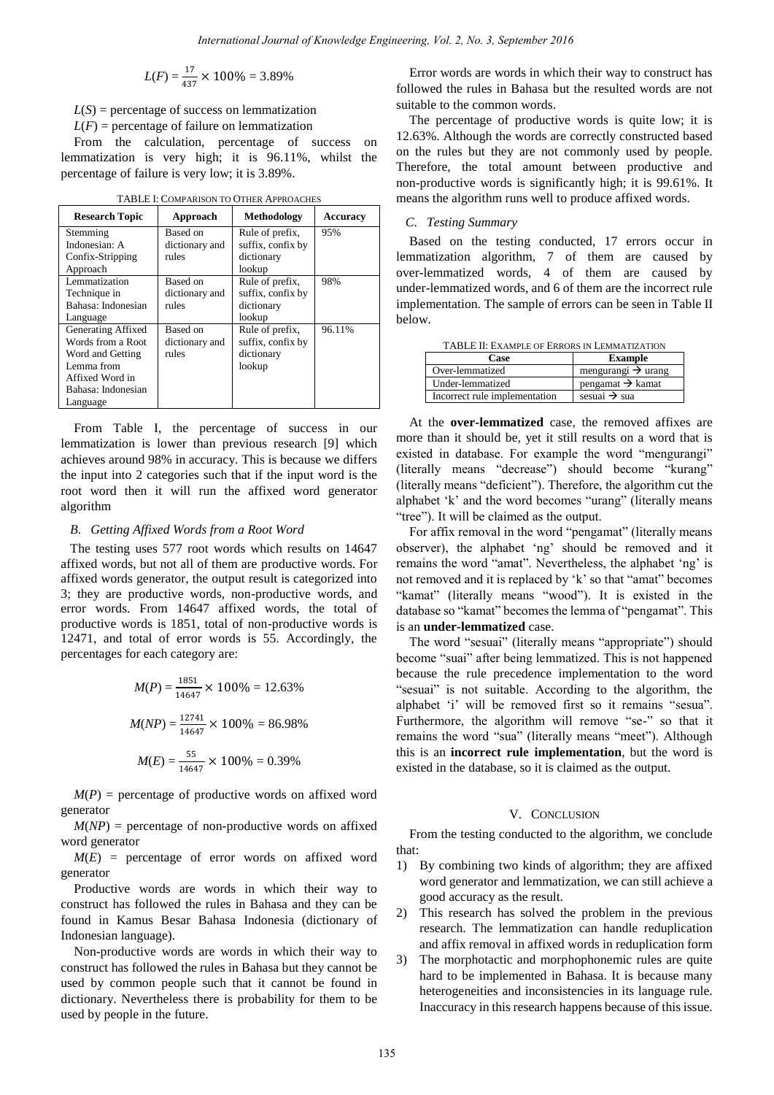$$
L(F) = \frac{17}{437} \times 100\% = 3.89\%
$$

 $L(S)$  = percentage of success on lemmatization

 $L(F)$  = percentage of failure on lemmatization

From the calculation, percentage of success on lemmatization is very high; it is 96.11%, whilst the percentage of failure is very low; it is 3.89%.

| <b>Research Topic</b> | Approach       | <b>Methodology</b> | <b>Accuracy</b> |
|-----------------------|----------------|--------------------|-----------------|
| Stemming              | Based on       | Rule of prefix,    | 95%             |
| Indonesian: A         | dictionary and | suffix, confix by  |                 |
| Confix-Stripping      | rules          | dictionary         |                 |
| Approach              |                | lookup             |                 |
| Lemmatization         | Based on       | Rule of prefix,    | 98%             |
| Technique in          | dictionary and | suffix, confix by  |                 |
| Bahasa: Indonesian    | rules          | dictionary         |                 |
| Language              |                | lookup             |                 |
| Generating Affixed    | Based on       | Rule of prefix,    | 96.11%          |
| Words from a Root     | dictionary and | suffix, confix by  |                 |
| Word and Getting      | rules          | dictionary         |                 |
| Lemma from            |                | lookup             |                 |
| Affixed Word in       |                |                    |                 |
| Bahasa: Indonesian    |                |                    |                 |
| Language              |                |                    |                 |

TABLE I: COMPARISON TO OTHER APPROACHES

From Table I, the percentage of success in our lemmatization is lower than previous research [9] which achieves around 98% in accuracy. This is because we differs the input into 2 categories such that if the input word is the root word then it will run the affixed word generator algorithm

## *B. Getting Affixed Words from a Root Word*

The testing uses 577 root words which results on 14647 affixed words, but not all of them are productive words. For affixed words generator, the output result is categorized into 3; they are productive words, non-productive words, and error words. From 14647 affixed words, the total of productive words is 1851, total of non-productive words is 12471, and total of error words is 55. Accordingly, the percentages for each category are:

$$
M(P) = \frac{1851}{14647} \times 100\% = 12.63\%
$$
  

$$
M(NP) = \frac{12741}{14647} \times 100\% = 86.98\%
$$
  

$$
M(E) = \frac{55}{14647} \times 100\% = 0.39\%
$$

 $M(P)$  = percentage of productive words on affixed word generator

 $M(NP)$  = percentage of non-productive words on affixed word generator

 $M(E)$  = percentage of error words on affixed word generator

Productive words are words in which their way to construct has followed the rules in Bahasa and they can be found in Kamus Besar Bahasa Indonesia (dictionary of Indonesian language).

Non-productive words are words in which their way to construct has followed the rules in Bahasa but they cannot be used by common people such that it cannot be found in dictionary. Nevertheless there is probability for them to be used by people in the future.

Error words are words in which their way to construct has followed the rules in Bahasa but the resulted words are not suitable to the common words.

The percentage of productive words is quite low; it is 12.63%. Although the words are correctly constructed based on the rules but they are not commonly used by people. Therefore, the total amount between productive and non-productive words is significantly high; it is 99.61%. It means the algorithm runs well to produce affixed words.

### *C. Testing Summary*

Based on the testing conducted, 17 errors occur in lemmatization algorithm, 7 of them are caused by over-lemmatized words, 4 of them are caused by under-lemmatized words, and 6 of them are the incorrect rule implementation. The sample of errors can be seen in Table II below.

| TABLE II: EXAMPLE OF ERRORS IN LEMMATIZATION |                                 |  |  |
|----------------------------------------------|---------------------------------|--|--|
| Case                                         | <b>Example</b>                  |  |  |
| Over-lemmatized                              | mengurangi $\rightarrow$ urang  |  |  |
| Under-lemmatized                             | $p$ engamat $\rightarrow$ kamat |  |  |
| Incorrect rule implementation                | sesuai $\rightarrow$ sua        |  |  |

At the **over-lemmatized** case, the removed affixes are more than it should be, yet it still results on a word that is existed in database. For example the word "mengurangi" (literally means "decrease") should become "kurang" (literally means "deficient"). Therefore, the algorithm cut the alphabet "k" and the word becomes "urang" (literally means "tree"). It will be claimed as the output.

For affix removal in the word "pengamat" (literally means observer), the alphabet "ng" should be removed and it remains the word "amat". Nevertheless, the alphabet 'ng' is not removed and it is replaced by "k" so that "amat" becomes "kamat" (literally means "wood"). It is existed in the database so "kamat" becomes the lemma of "pengamat". This is an **under-lemmatized** case.

The word "sesuai" (literally means "appropriate") should become "suai" after being lemmatized. This is not happened because the rule precedence implementation to the word "sesuai" is not suitable. According to the algorithm, the alphabet 'i' will be removed first so it remains "sesua". Furthermore, the algorithm will remove "se-" so that it remains the word "sua" (literally means "meet"). Although this is an **incorrect rule implementation**, but the word is existed in the database, so it is claimed as the output.

#### V. CONCLUSION

From the testing conducted to the algorithm, we conclude that:

- 1) By combining two kinds of algorithm; they are affixed word generator and lemmatization, we can still achieve a good accuracy as the result.
- 2) This research has solved the problem in the previous research. The lemmatization can handle reduplication and affix removal in affixed words in reduplication form
- 3) The morphotactic and morphophonemic rules are quite hard to be implemented in Bahasa. It is because many heterogeneities and inconsistencies in its language rule. Inaccuracy in this research happens because of this issue.